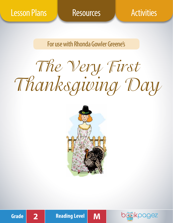For use with Rhonda Gowler Greene's

The Very First Thanksgiving Day









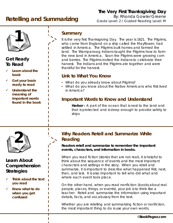# **Retelling and Summarizing**

# **The Very First Thanksgiving Day**

By: Rhonda Gowler Greene Grade Level: 2 / Guided Reading Level: M



# **Get Ready To Read**

- **Learn about the book**
- **Get your brain ready to read**
- **Understand the meaning of important words found in the book**

# **Summary**

It is the very first Thanksgiving Day. The year is 1621. The Pilgrims, who came from England on a ship called the Mayflower, had settled in America. The Pilgrims built homes and farmed the land. The Wampanoag Indians taught the Pilgrims how to farm the new land in America. Soon the Pilgrims were growing corn and berries. The Pilgrims invited the Indians to celebrate their harvest. The Indians and the Pilgrims ate together and were thankful for the harvest.

# **Link to What You Know**

- What do you already know about Pilgrims?
- What do you know about the Native Americans who first lived in America?

# **Important Words to Know and Understand**

**Harbor –** A part of the ocean that is next to the land and that is protected and is deep enough to provide safety to ships



# **Learn About Comprehension Strategies**

- **Think about the text you read**
- **Know what to do when you get confused**

# **2 Why Readers Retell and Summarize While Reading**

**Readers retell and summarize to remember the important events, characters, and information in books.** 

When you read fiction (stories that are not real), it is helpful to think about the sequence of events and the most important characters and settings in the story. When you retell and summarize, it is important to describe what happened first, next, then, and last. It is also important to tell who did what and where each event took place.

On the other hand, when you read nonfiction (books about real people, places, things, or events), your job is to think like a teacher. Retell and summarize the information using important details, facts, and vocabulary from the text.

Whether you are retelling and summarizing fiction or nonfiction, the most important thing to do is use your own words.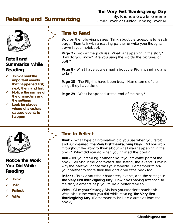# **The Very First Thanksgiving Day**

**Retelling and Summarizing**

By: Rhonda Gowler Greene Grade Level: 2 / Guided Reading Level: M



# **Retell and Summarize While Reading**

- **Think about the important events that happened first, next, then, and last**
- **Notice the names of the characters and the settings**
- **Look for places where characters caused events to happen**



# **Notice the Work You Did While Reading**

- **Think**
- **Talk**
- **Reflect**
- **Write**

# **Time to Read**

Stop on the following pages. Think about the questions for each page. Then talk with a reading partner or write your thoughts down in your notebook.

**Page 2 –** Look at the pictures. What is happening in the story? How do you know? Are you using the words, the pictures, or both?

**Page 8 –** What have you learned about the Pilgrims and Indians so far?

**Page 18 –** The Pilgrims have been busy. Name some of the things they have done.

**Page 29 –** What happened at the end of the story?



**Think –** What type of information did you use when you retold and summarized *The Very First Thanksgiving Day*? Did you stop throughout the story to think about what was happening in the book? What did you do when you finished the book?

**Talk –** Tell your reading partner about your favorite part of the book. Tell about the characters, the setting, the events. Explain why the part you chose was your favorite. Remember to ask your partner to share their thoughts about the book too.

**Reflect –** Think about the characters, events, and the settings in *The Very First Thanksgiving Day*. How does paying attention to the story elements help you to be a better reader?

**Write –** Glue your Strategy Slip into your reader's notebook. Write about the work you did while reading *The Very First Thanksgiving Day*. (Remember to include examples from the book!)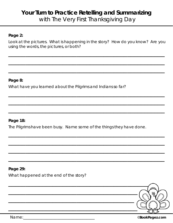# **Your Turn to Practice Retelling and Summarizing** with The Very First Thanksgiving Day

# **Page 2:**

Look at the pictures. What is happening in the story? How do you know? Are you using the words, the pictures, or both?

 $\mathcal{L}_\text{max}$  and  $\mathcal{L}_\text{max}$  and  $\mathcal{L}_\text{max}$  and  $\mathcal{L}_\text{max}$  and  $\mathcal{L}_\text{max}$ 

 $\mathcal{L}_\text{max}$  and  $\mathcal{L}_\text{max}$  and  $\mathcal{L}_\text{max}$  and  $\mathcal{L}_\text{max}$  and  $\mathcal{L}_\text{max}$  and  $\mathcal{L}_\text{max}$ 

 $\mathcal{L}_\text{max}$  and  $\mathcal{L}_\text{max}$  and  $\mathcal{L}_\text{max}$  and  $\mathcal{L}_\text{max}$  and  $\mathcal{L}_\text{max}$  and  $\mathcal{L}_\text{max}$ 

 $\mathcal{L}_\text{max}$  and  $\mathcal{L}_\text{max}$  and  $\mathcal{L}_\text{max}$  and  $\mathcal{L}_\text{max}$  and  $\mathcal{L}_\text{max}$ 

 $\mathcal{L}_\text{max}$  and  $\mathcal{L}_\text{max}$  and  $\mathcal{L}_\text{max}$  and  $\mathcal{L}_\text{max}$  and  $\mathcal{L}_\text{max}$ 

 $\mathcal{L}_\text{max}$  and  $\mathcal{L}_\text{max}$  and  $\mathcal{L}_\text{max}$  and  $\mathcal{L}_\text{max}$  and  $\mathcal{L}_\text{max}$  and  $\mathcal{L}_\text{max}$ 

 $\mathcal{L}_\text{max}$  and  $\mathcal{L}_\text{max}$  and  $\mathcal{L}_\text{max}$  and  $\mathcal{L}_\text{max}$  and  $\mathcal{L}_\text{max}$ 

 $\mathcal{L}_\text{max}$  and  $\mathcal{L}_\text{max}$  and  $\mathcal{L}_\text{max}$  and  $\mathcal{L}_\text{max}$  and  $\mathcal{L}_\text{max}$ 

 $\mathcal{L}_\text{max}$  and  $\mathcal{L}_\text{max}$  and  $\mathcal{L}_\text{max}$  and  $\mathcal{L}_\text{max}$  and  $\mathcal{L}_\text{max}$ 

 $\mathcal{L}_\text{max}$  and  $\mathcal{L}_\text{max}$  and  $\mathcal{L}_\text{max}$  and  $\mathcal{L}_\text{max}$  and  $\mathcal{L}_\text{max}$  and  $\mathcal{L}_\text{max}$ 

# **Page 8:**

What have you learned about the Pilgrims and Indians so far?

# **Page 18:**

The Pilgrims have been busy. Name some of the things they have done.

# **Page 29:**

What happened at the end of the story?

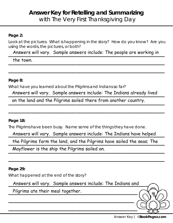# **Answer Key for Retelling and Summarizing** with The Very First Thanksgiving Day

# **Page 2:**

Look at the pictures. What is happening in the story? How do you know? Are you using the words, the pictures, or both?

Answers will vary. Sample answers include: The people are working in

 $\mathcal{L}_\text{max}$  and  $\mathcal{L}_\text{max}$  and  $\mathcal{L}_\text{max}$  and  $\mathcal{L}_\text{max}$  and  $\mathcal{L}_\text{max}$  and  $\mathcal{L}_\text{max}$ 

the town. the town.

# **Page 8:**

What have you learned about the Pilgrims and Indians so far?

Answers will vary. Sample answers include: The Indians already lived

 $\mathcal{L}_\text{max}$  and  $\mathcal{L}_\text{max}$  and  $\mathcal{L}_\text{max}$  and  $\mathcal{L}_\text{max}$  and  $\mathcal{L}_\text{max}$  and  $\mathcal{L}_\text{max}$ 

on the land and the Pilgrims sailed there from another country.

# **Page 18:**

The Pilgrims have been busy. Name some of the things they have done.

Answers will vary. Sample answers include: The Indians have helped

the Pilgrims farm the land, and the Pilgrims have sailed the seas; The

 $\mathcal{L}_\text{max}$  and  $\mathcal{L}_\text{max}$  and  $\mathcal{L}_\text{max}$  and  $\mathcal{L}_\text{max}$  and  $\mathcal{L}_\text{max}$  and  $\mathcal{L}_\text{max}$ 

\_\_\_\_\_\_\_\_\_\_\_\_\_\_\_\_\_\_\_\_\_\_\_\_\_\_\_\_\_\_\_\_\_\_\_\_\_\_\_\_\_\_\_\_\_\_ Mayflower is the ship the Pilgrims sailed on.

**Page 29:**

What happened at the end of the story?

Answers will vary. Sample answers include: The Indians and

 $\mathcal{L}_\text{max}$  and  $\mathcal{L}_\text{max}$  and  $\mathcal{L}_\text{max}$  and  $\mathcal{L}_\text{max}$ 

 $\mathcal{L}_\text{max}$  and  $\mathcal{L}_\text{max}$  and  $\mathcal{L}_\text{max}$  and  $\mathcal{L}_\text{max}$  and  $\mathcal{L}_\text{max}$ 

Pilgrims ate their meal together.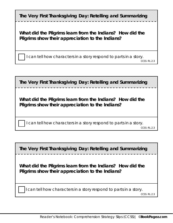| The Very First Thanksgiving Day: Retelling and Summarizing                                                    |
|---------------------------------------------------------------------------------------------------------------|
| What did the Pilgrims learn from the Indians? How did the<br>Pilgrims show their appreciation to the Indians? |
| I can tell how characters in a story respond to parts in a story.<br>CCSS: R1.2.3                             |
|                                                                                                               |

**The Very First Thanksgiving Day: Retelling and Summarizing**

**What did the Pilgrims learn from the Indians? How did the Pilgrims show their appreciation to the Indians?**

I can tell how characters in a story respond to parts in a story.

CCSS: RL.2.3

**The Very First Thanksgiving Day: Retelling and Summarizing**

**What did the Pilgrims learn from the Indians? How did the Pilgrims show their appreciation to the Indians?**

I can tell how characters in a story respond to parts in a story.

CCSS: RL.2.3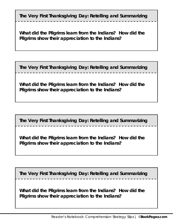**The Very First Thanksgiving Day: Retelling and Summarizing**

**What did the Pilgrims learn from the Indians? How did the Pilgrims show their appreciation to the Indians?**

**The Very First Thanksgiving Day: Retelling and Summarizing**

**What did the Pilgrims learn from the Indians? How did the Pilgrims show their appreciation to the Indians?**

**The Very First Thanksgiving Day: Retelling and Summarizing**

**What did the Pilgrims learn from the Indians? How did the Pilgrims show their appreciation to the Indians?**

**The Very First Thanksgiving Day: Retelling and Summarizing**

**What did the Pilgrims learn from the Indians? How did the Pilgrims show their appreciation to the Indians?**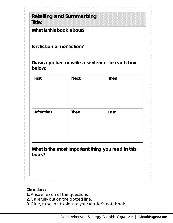**Retelling and Summarizing Title::** which is a set of the contract of the contract of the contract of the contract of the contract of the contract of the contract of the contract of the contract of the contract of the contract of the contract of th

**What is this book about?**

**Is it fiction or nonfiction?** 

**Draw a picture or write a sentence for each box below:**

| <b>First</b>                                               | <b>Next</b> | <b>Then</b> |  |
|------------------------------------------------------------|-------------|-------------|--|
| <b>After that</b>                                          | <b>Then</b> | Last        |  |
| What is the most important thing you read in this<br>book? |             |             |  |

# **Directions:**

- **1.** Answer each of the questions.
- **2.** Carefully cut on the dotted line.
- **3.** Glue, tape, or staple into your reader's notebook.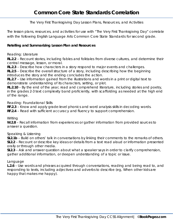The Very First Thanksgiving Day Lesson Plans, Resources, and Activities

The lesson plans, resources, and activities for use with "The Very First Thanksgiving Day" correlate with the following English Language Arts Common Core State Standards for second grade.

#### **Retelling and Summarizing Lesson Plan and Resources**

Reading: Literature

**RL.2.2** – Recount stories, including fables and folktales from diverse cultures, and determine their central message, lesson, or moral.

**RL.2.3** – Describe how characters in a story respond to major events and challenges.

**RL.2.5** – Describe the overall structure of a story, including describing how the beginning introduces the story and the ending concludes the action.

**RL.2.7** – Use information gained from the illustrations and words in a print or digital text to demonstrate understanding of its characters, setting, or plot.

**RL.2.10** – By the end of the year, read and comprehend literature, including stories and poetry, in the grades 2-3 text complexity band proficiently, with scaffolding as needed at the high end of the range.

Reading: Foundational Skills

**RF.2.3** – Know and apply grade-level phonics and word analysis skills in decoding words.

**RF.2.4** – Read with sufficient accuracy and fluency to support comprehension.

**Writing** 

**W.2.8** – Recall information from experiences or gather information from provided sources to answer a question.

Speaking & Listening

**SL2.1b** – Build on others' talk in conversations by linking their comments to the remarks of others. **SL2.2** – Recount or describe key ideas or details from a text read aloud or information presented orally or through other media.

**SL2.3** – Ask and answer question about what a speaker says in order to clarify comprehension, gather additional information, or deepen understanding of a topic or issue.

#### Language

**L.2.6** – Use words and phrases acquired through conversations, reading and being read to, and responding to texts, including adjectives and adverbs to describe (eg, *When other kids are happy that makes me happy*).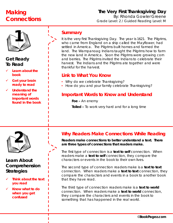# **Making Connections**

# **The Very First Thanksgiving Day** By: Rhonda Gowler Greene Grade Level: 2 / Guided Reading Level: M



# **Get Ready To Read**

- **Learn about the book**
- **Get your brain ready to read**
- **Understand the meaning of important words found in the book**

# **Summary**

It is the very first Thanksgiving Day. The year is 1621. The Pilgrims, who came from England on a ship called the Mayflower, had settled in America. The Pilgrims built homes and farmed the land. The Wampanoag Indians taught the Pilgrims how to farm the new land in America. Soon the Pilgrims were growing corn and berries. The Pilgrims invited the Indians to celebrate their harvest. The Indians and the Pilgrims ate together and were thankful for the harvest.

# **Link to What You Know**

- Why do we celebrate Thanksgiving?
- How do you and your family celebrate Thanksgiving?

# **Important Words to Know and Understand**

**Foe –** An enemy

**Toiled –** To work very hard and for a long time



# **Learn About Comprehension Strategies**

- **Think about the text you read**
- **Know what to do when you get confused**

# **2 Why Readers Make Connections While Reading**

**Readers make connections to better understand a text. There are three types of connections that readers make.** 

The first type of connection is a **text to self** connection. When readers make a **text to self** connection, they compare the characters or events in the book to their own lives.

The second type of connection readers make is a **text to text** connection. When readers make a **text to text** connection, they compare the characters and events in a book to another book that they have read.

The third type of connection readers make is a **text to world** connection. When readers make a **text to world** connection, they compare the characters and events in the book to something that has happened in the real world.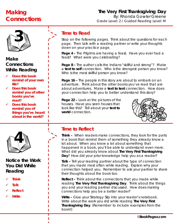# **Making Connections**

# **The Very First Thanksgiving Day** By: Rhonda Gowler Greene Grade Level: 2 / Guided Reading Level: M



# **Make Connections While Reading**

- **Does this book remind of your own life?**
- **Does this book remind you of other books you've read?**
- **Does this book remind you of things you've heard about in the world?**



# **Notice the Work You Did While Reading**

- **Think**
- **Talk**
- **Reflect**
- **Write**

# **Time to Read**

Stop on the following pages. Think about the questions for each page. Then talk with a reading partner or write your thoughts down on your practice page.

**Page 4 –** The Pilgrims are having a feast. Have you ever had a feast? What were you celebrating?

**Page 8 –** The author calls the Indians "skillful and strong"? Make a **text to self** connection. Who is the strongest person you know? Who is the most skillful person you know?

**Page 16 –** The people in this story are about to embark on an adventure. Think about the other books you've read that are about adventures. Make a **text to text** connection. How does your connection help you to better understand this story?

**Page 22 –** Look at the pictures of the houses. Have you seen houses that look like this? Tell about your **text to world** connection.



# **Time to Reflect**

**Think –** When readers make connections, they look for the parts in a book that remind them of something they already know a lot about. When you know a lot about something that happened in a book, you'll be able to understand even more. What did you already know about *The Very First Thanksgiving Day*? How did your prior knowledge help you as a reader?

**Talk –** Tell your reading partner about the type of connection that you made most often while reading. Explain why your connection helped you. Remember to ask your partner to share their thoughts about the book too.

**Reflect –** Think about the connections that you made while reading *The Very First Thanksgiving Day*. Think about the things you and your reading partner discussed. How does making connections help you be a better reader?

**Write –** Glue your Strategy Slip into your reader's notebook. Write about the work you did while reading *The Very First Thanksgiving Day*. (Remember to include examples from the book!)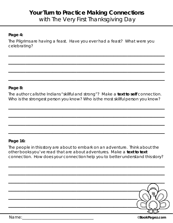# **Your Turn to Practice Making Connections** with The Very First Thanksgiving Day

# **Page 4:**

The Pilgrims are having a feast. Have you ever had a feast? What were you celebrating?

 $\mathcal{L}_\text{max}$  and  $\mathcal{L}_\text{max}$  and  $\mathcal{L}_\text{max}$  and  $\mathcal{L}_\text{max}$  and  $\mathcal{L}_\text{max}$ 

 $\mathcal{L}_\text{max}$  and  $\mathcal{L}_\text{max}$  and  $\mathcal{L}_\text{max}$  and  $\mathcal{L}_\text{max}$  and  $\mathcal{L}_\text{max}$ 

 $\mathcal{L}_\text{max}$  and  $\mathcal{L}_\text{max}$  and  $\mathcal{L}_\text{max}$  and  $\mathcal{L}_\text{max}$  and  $\mathcal{L}_\text{max}$ 

 $\mathcal{L}_\text{max}$  and  $\mathcal{L}_\text{max}$  and  $\mathcal{L}_\text{max}$  and  $\mathcal{L}_\text{max}$  and  $\mathcal{L}_\text{max}$  and  $\mathcal{L}_\text{max}$ 

# **Page 8:**

The author calls the Indians "skillful and strong"? Make a **text to self** connection. Who is the strongest person you know? Who is the most skillful person you know?

 $\mathcal{L}_\text{max}$  and  $\mathcal{L}_\text{max}$  and  $\mathcal{L}_\text{max}$  and  $\mathcal{L}_\text{max}$  and  $\mathcal{L}_\text{max}$ 

 $\mathcal{L}_\text{max}$  and  $\mathcal{L}_\text{max}$  and  $\mathcal{L}_\text{max}$  and  $\mathcal{L}_\text{max}$  and  $\mathcal{L}_\text{max}$ 

 $\mathcal{L}_\text{max}$  and  $\mathcal{L}_\text{max}$  and  $\mathcal{L}_\text{max}$  and  $\mathcal{L}_\text{max}$  and  $\mathcal{L}_\text{max}$ 

 $\mathcal{L}_\text{max}$  and  $\mathcal{L}_\text{max}$  and  $\mathcal{L}_\text{max}$  and  $\mathcal{L}_\text{max}$  and  $\mathcal{L}_\text{max}$  and  $\mathcal{L}_\text{max}$ 

### **Page 16:**

The people in this story are about to embark on an adventure. Think about the other books you've read that are about adventures. Make a **text to text** connection. How does your connection help you to better understand this story?

 $\mathcal{L}_\text{max}$  and  $\mathcal{L}_\text{max}$  and  $\mathcal{L}_\text{max}$  and  $\mathcal{L}_\text{max}$  and  $\mathcal{L}_\text{max}$  and  $\mathcal{L}_\text{max}$ 

 $\mathcal{L}_\text{max}$  and  $\mathcal{L}_\text{max}$  and  $\mathcal{L}_\text{max}$  and  $\mathcal{L}_\text{max}$  and  $\mathcal{L}_\text{max}$ 

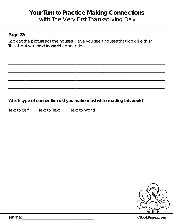# **Your Turn to Practice Making Connections** with The Very First Thanksgiving Day

# **Page 22:**

Look at the pictures of the houses. Have you seen houses that look like this? Tell about your **text to world** connection.

 $\mathcal{L}_\text{max}$  and  $\mathcal{L}_\text{max}$  and  $\mathcal{L}_\text{max}$  and  $\mathcal{L}_\text{max}$  and  $\mathcal{L}_\text{max}$ 

 $\mathcal{L}_\text{max}$  and  $\mathcal{L}_\text{max}$  and  $\mathcal{L}_\text{max}$  and  $\mathcal{L}_\text{max}$  and  $\mathcal{L}_\text{max}$ 

 $\mathcal{L}_\text{max}$  and  $\mathcal{L}_\text{max}$  and  $\mathcal{L}_\text{max}$  and  $\mathcal{L}_\text{max}$  and  $\mathcal{L}_\text{max}$ 

 $\mathcal{L}_\text{max}$  and  $\mathcal{L}_\text{max}$  and  $\mathcal{L}_\text{max}$  and  $\mathcal{L}_\text{max}$  and  $\mathcal{L}_\text{max}$  and  $\mathcal{L}_\text{max}$ 

 $\mathcal{L}_\text{max}$  and  $\mathcal{L}_\text{max}$  and  $\mathcal{L}_\text{max}$  and  $\mathcal{L}_\text{max}$  and  $\mathcal{L}_\text{max}$  and  $\mathcal{L}_\text{max}$ 

**Which type of connection did you make most while reading this book?**

Text to Self Text to Text Text to World



Name:\_\_\_\_\_\_\_\_\_\_\_\_\_\_\_\_\_\_\_\_\_\_\_\_\_\_\_\_\_\_\_\_\_\_\_\_ ©**BookPagez.com**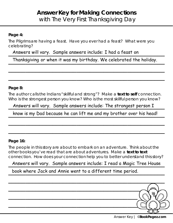# **Answer Key for Making Connections** with The Very First Thanksgiving Day

# **Page 4:**

The Pilgrims are having a feast. Have you ever had a feast? What were you celebrating?

Answers will vary. Sample answers include: I had a feast on

Thanksgiving or when it was my birthday. We celebrated the holiday.

 $\mathcal{L}_\text{max}$  and  $\mathcal{L}_\text{max}$  and  $\mathcal{L}_\text{max}$  and  $\mathcal{L}_\text{max}$  and  $\mathcal{L}_\text{max}$ 

 $\mathcal{L}_\text{max}$  and  $\mathcal{L}_\text{max}$  and  $\mathcal{L}_\text{max}$  and  $\mathcal{L}_\text{max}$  and  $\mathcal{L}_\text{max}$  and  $\mathcal{L}_\text{max}$ 

# **Page 8:**

The author calls the Indians "skillful and strong"? Make a **text to self** connection. Who is the strongest person you know? Who is the most skillful person you know?

Answers will vary. Sample answers include: The strongest person I

know is my Dad because he can lift me and my brother over his head!

 $\mathcal{L}_\text{max}$  and  $\mathcal{L}_\text{max}$  and  $\mathcal{L}_\text{max}$  and  $\mathcal{L}_\text{max}$  and  $\mathcal{L}_\text{max}$ 

 $\mathcal{L}_\text{max}$  and  $\mathcal{L}_\text{max}$  and  $\mathcal{L}_\text{max}$  and  $\mathcal{L}_\text{max}$  and  $\mathcal{L}_\text{max}$  and  $\mathcal{L}_\text{max}$ 

# **Page 16:**

The people in this story are about to embark on an adventure. Think about the other books you've read that are about adventures. Make a **text to text** connection. How does your connection help you to better understand this story?

# Answers will vary. Sample answers include: I read a Magic Tree House

book where Jack and Annie went to a different time period.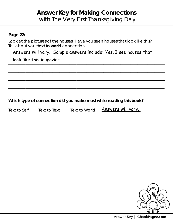# **Answer Key for Making Connections** with The Very First Thanksgiving Day

# **Page 22:**

Look at the pictures of the houses. Have you seen houses that look like this? Tell about your **text to world** connection.

Answers will vary. Sample answers include: Yes, I see houses that

 $\mathcal{L}_\text{max}$  and  $\mathcal{L}_\text{max}$  and  $\mathcal{L}_\text{max}$  and  $\mathcal{L}_\text{max}$  and  $\mathcal{L}_\text{max}$ 

 $\mathcal{L}_\text{max}$  and  $\mathcal{L}_\text{max}$  and  $\mathcal{L}_\text{max}$  and  $\mathcal{L}_\text{max}$  and  $\mathcal{L}_\text{max}$  and  $\mathcal{L}_\text{max}$ 

 $\mathcal{L}_\text{max}$  and  $\mathcal{L}_\text{max}$  and  $\mathcal{L}_\text{max}$  and  $\mathcal{L}_\text{max}$  and  $\mathcal{L}_\text{max}$  and  $\mathcal{L}_\text{max}$ 

look like this in movies.

**Which type of connection did you make most while reading this book?**

Text to Self Text to Text Text to World

Answers will vary.

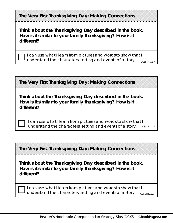| The Very First Thanksgiving Day: Making Connections                                                                               |
|-----------------------------------------------------------------------------------------------------------------------------------|
| Think about the Thanksgiving Day described in the book.<br>How is it similar to your family thanksgiving? How is it<br>different? |
| I can use what I learn from pictures and words to show that I<br>understand the characters, setting and events of a story.        |

**The Very First Thanksgiving Day: Making Connections**

**Think about the Thanksgiving Day described in the book. How is it similar to your family thanksgiving? How is it different?**

I can use what I learn from pictures and words to show that I understand the characters, setting and events of a story. CCSS: RL.2.7

**The Very First Thanksgiving Day: Making Connections**

**Think about the Thanksgiving Day described in the book. How is it similar to your family thanksgiving? How is it different?**

I can use what I learn from pictures and words to show that I understand the characters, setting and events of a story. CCSS: RL.2.7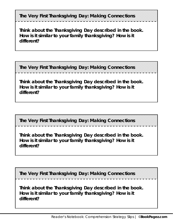**The Very First Thanksgiving Day: Making Connections**

**Think about the Thanksgiving Day described in the book. How is it similar to your family thanksgiving? How is it different?**

**The Very First Thanksgiving Day: Making Connections**

**Think about the Thanksgiving Day described in the book. How is it similar to your family thanksgiving? How is it different?**

**The Very First Thanksgiving Day: Making Connections**

**Think about the Thanksgiving Day described in the book. How is it similar to your family thanksgiving? How is it different?**

**The Very First Thanksgiving Day: Making Connections**

**Think about the Thanksgiving Day described in the book. How is it similar to your family thanksgiving? How is it different?**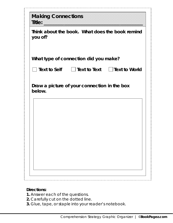| you of?                               |  | Think about the book. What does the book remind |
|---------------------------------------|--|-------------------------------------------------|
| What type of connection did you make? |  |                                                 |
|                                       |  | □ Text to Self  □ Text to Text  □ Text to World |
| below.                                |  |                                                 |
|                                       |  |                                                 |
|                                       |  |                                                 |

- **1.** Answer each of the questions.
- **2.** Carefully cut on the dotted line.
- **3.** Glue, tape, or staple into your reader's notebook.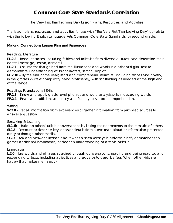The Very First Thanksgiving Day Lesson Plans, Resources, and Activities

The lesson plans, resources, and activities for use with "The Very First Thanksgiving Day" correlate with the following English Language Arts Common Core State Standards for second grade.

#### **Making Connections Lesson Plan and Resources**

#### Reading: Literature

**RL.2.2** – Recount stories, including fables and folktales from diverse cultures, and determine their central message, lesson, or moral.

**RL.2.7** – Use information gained from the illustrations and words in a print or digital text to demonstrate understanding of its characters, setting, or plot.

**RL.2.10** – By the end of the year, read and comprehend literature, including stories and poetry, in the grades 2-3 text complexity band proficiently, with scaffolding as needed at the high end of the range.

#### Reading: Foundational Skills

**RF.2.3** – Know and apply grade-level phonics and word analysis skills in decoding words.

**RF.2.4** – Read with sufficient accuracy and fluency to support comprehension.

#### **Writing**

**W.2.8** – Recall information from experiences or gather information from provided sources to answer a question.

#### Speaking & Listening

**SL2.1b** – Build on others' talk in conversations by linking their comments to the remarks of others. **SL2.2** – Recount or describe key ideas or details from a text read aloud or information presented orally or through other media.

**SL2.3** – Ask and answer question about what a speaker says in order to clarify comprehension, gather additional information, or deepen understanding of a topic or issue.

#### Language

**L.2.6** – Use words and phrases acquired through conversations, reading and being read to, and responding to texts, including adjectives and adverbs to describe (eg, *When other kids are happy that makes me happy*).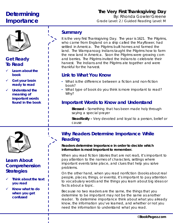# **Determining Importance**

# **The Very First Thanksgiving Day** By: Rhonda Gowler Greene Grade Level: 2 / Guided Reading Level: M



# **Get Ready To Read**

- **Learn about the book**
- **Get your brain ready to read**
- **Understand the meaning of important words found in the book**

# **Summary**

It is the very first Thanksgiving Day. The year is 1621. The Pilgrims, who came from England on a ship called the Mayflower, had settled in America. The Pilgrims built homes and farmed the land. The Wampanoag Indians taught the Pilgrims how to farm the new land in America. Soon the Pilgrims were growing corn and berries. The Pilgrims invited the Indians to celebrate their harvest. The Indians and the Pilgrims ate together and were thankful for the harvest.

# **Link to What You Know**

- What is the difference between a fiction and non-fiction book?
- What type of book do you think is more important to read? Why?

# **Important Words to Know and Understand**

**Blessed –** Something that has been made holy through saying a special prayer

**Steadfastly –** Very devoted and loyal to a person, belief or cause



# **Learn About Comprehension Strategies**

- **Think about the text you read**
- **Know what to do when you get confused**

# **2 Why Readers Determine Importance While Reading**

**Readers determine importance in order to decide which information is most important to remember.** 

When you read fiction (stories that are not real), it's important to pay attention to the names of characters, settings where important events take place, and clues that help you solve problems.

On the other hand, when you read nonfiction (books about real people, places, things, or events), it's important to pay attention to vocabulary words and the things you learn about big ideas or facts about a topic.

Because no two readers are the same, the things that you determine to be important may not be the same as another reader. To determine importance think about what you already know, the information you've learned, and whether or not you need the information to understand what you read.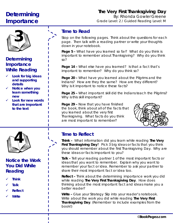# **Determining Importance**

# **The Very First Thanksgiving Day** By: Rhonda Gowler Greene

Grade Level: 2 / Guided Reading Level: M



# **Determining Importance While Reading**

- **Look for big ideas and supporting details**
- **Notice when you learn something new**
- **Look for new words that are important to the text**



# **Notice the Work You Did While Reading**

- **Think**
- **Talk**
- **Reflect**
- **Write**

# **Time to Read**

Stop on the following pages. Think about the questions for each page. Then talk with a reading partner or write your thoughts down in your notebook.

**Page 5 –** What have you learned so far? What do you think is important to remember about Thanksgiving? Why do you think so?

Page 14 - What else have you learned? Is that a fact that's important to remember? Why do you think so?

**Page 20 –** What have you learned about the Pilgrims and the Indians? How are they the same? How are they different? Why is it important to notice these facts?

**Page 25 –** What important skill did the Indians teach the Pilgrims? Why is this skill important?

**Page 29 –** Now that you have finished the book, think about all of the facts that you learned about the very first Thanksgiving. What facts do you think are most important to remember?



**Think –** What information did you learn while reading *The Very First Thanksgiving Day*? Pick 3 big ideas or facts that you think you should remember about the first Thanksgiving Day. Why are these ideas or facts important to you?

**Talk –** Tell your reading partner 1 of the most important facts or ideas that you want to remember. Explain why you want to remember your fact or idea. Remember to ask your partner to share their most important fact or idea too.

**Reflect –** Think about the determining importance work you did while reading *The Very First Thanksgiving Day*. How does thinking about the most important fact and ideas make you a better reader?

**Write –** Glue your Strategy Slip into your reader's notebook. Write about the work you did while reading *The Very First Thanksgiving Day*. (Remember to include examples from the book!)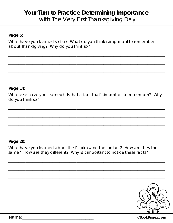# **Your Turn to Practice Determining Importance** with The Very First Thanksgiving Day

# **Page 5:**

What have you learned so far? What do you think is important to remember about Thanksgiving? Why do you think so?

 $\mathcal{L}_\text{max}$  and  $\mathcal{L}_\text{max}$  and  $\mathcal{L}_\text{max}$  and  $\mathcal{L}_\text{max}$  and  $\mathcal{L}_\text{max}$ 

 $\mathcal{L}_\text{max}$  and  $\mathcal{L}_\text{max}$  and  $\mathcal{L}_\text{max}$  and  $\mathcal{L}_\text{max}$  and  $\mathcal{L}_\text{max}$  and  $\mathcal{L}_\text{max}$ 

 $\mathcal{L}_\text{max}$  and  $\mathcal{L}_\text{max}$  and  $\mathcal{L}_\text{max}$  and  $\mathcal{L}_\text{max}$  and  $\mathcal{L}_\text{max}$  and  $\mathcal{L}_\text{max}$ 

 $\mathcal{L}_\text{max}$  and  $\mathcal{L}_\text{max}$  and  $\mathcal{L}_\text{max}$  and  $\mathcal{L}_\text{max}$  and  $\mathcal{L}_\text{max}$ 

# **Page 14:**

What else have you learned? Is that a fact that's important to remember? Why do you think so?

 $\mathcal{L}_\text{max}$  and  $\mathcal{L}_\text{max}$  and  $\mathcal{L}_\text{max}$  and  $\mathcal{L}_\text{max}$  and  $\mathcal{L}_\text{max}$ 

 $\mathcal{L}_\text{max}$  and  $\mathcal{L}_\text{max}$  and  $\mathcal{L}_\text{max}$  and  $\mathcal{L}_\text{max}$  and  $\mathcal{L}_\text{max}$ 

 $\mathcal{L}_\text{max}$  and  $\mathcal{L}_\text{max}$  and  $\mathcal{L}_\text{max}$  and  $\mathcal{L}_\text{max}$  and  $\mathcal{L}_\text{max}$ 

 $\mathcal{L}_\text{max}$  and  $\mathcal{L}_\text{max}$  and  $\mathcal{L}_\text{max}$  and  $\mathcal{L}_\text{max}$  and  $\mathcal{L}_\text{max}$ 

### **Page 20:**

What have you learned about the Pilgrims and the Indians? How are they the same? How are they different? Why is it important to notice these facts?

 $\mathcal{L}_\text{max}$  and  $\mathcal{L}_\text{max}$  and  $\mathcal{L}_\text{max}$  and  $\mathcal{L}_\text{max}$  and  $\mathcal{L}_\text{max}$ 

 $\mathcal{L}_\text{max}$  and  $\mathcal{L}_\text{max}$  and  $\mathcal{L}_\text{max}$  and  $\mathcal{L}_\text{max}$  and  $\mathcal{L}_\text{max}$ 

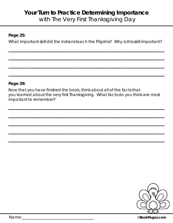# **Your Turn to Practice Determining Importance** with The Very First Thanksgiving Day

# **Page 25:**

What important skill did the Indians teach the Pilgrims? Why is this skill important?

 $\mathcal{L}_\text{max}$  and  $\mathcal{L}_\text{max}$  and  $\mathcal{L}_\text{max}$  and  $\mathcal{L}_\text{max}$  and  $\mathcal{L}_\text{max}$ 

 $\mathcal{L}_\text{max}$  and  $\mathcal{L}_\text{max}$  and  $\mathcal{L}_\text{max}$  and  $\mathcal{L}_\text{max}$  and  $\mathcal{L}_\text{max}$ 

 $\mathcal{L}_\text{max}$  and  $\mathcal{L}_\text{max}$  and  $\mathcal{L}_\text{max}$  and  $\mathcal{L}_\text{max}$  and  $\mathcal{L}_\text{max}$ 

 $\mathcal{L}_\text{max}$  and  $\mathcal{L}_\text{max}$  and  $\mathcal{L}_\text{max}$  and  $\mathcal{L}_\text{max}$  and  $\mathcal{L}_\text{max}$ 

### **Page 29:**

Now that you have finished the book, think about all of the facts that you learned about the very first Thanksgiving. What facts do you think are most important to remember?

 $\mathcal{L}_\text{max}$  and  $\mathcal{L}_\text{max}$  and  $\mathcal{L}_\text{max}$  and  $\mathcal{L}_\text{max}$  and  $\mathcal{L}_\text{max}$ 

 $\mathcal{L}_\text{max}$  and  $\mathcal{L}_\text{max}$  and  $\mathcal{L}_\text{max}$  and  $\mathcal{L}_\text{max}$  and  $\mathcal{L}_\text{max}$ 

 $\mathcal{L}_\text{max}$  and  $\mathcal{L}_\text{max}$  and  $\mathcal{L}_\text{max}$  and  $\mathcal{L}_\text{max}$  and  $\mathcal{L}_\text{max}$ 

 $\mathcal{L}_\text{max}$  and  $\mathcal{L}_\text{max}$  and  $\mathcal{L}_\text{max}$  and  $\mathcal{L}_\text{max}$  and  $\mathcal{L}_\text{max}$ 

 $\mathcal{L}_\text{max}$  and  $\mathcal{L}_\text{max}$  and  $\mathcal{L}_\text{max}$  and  $\mathcal{L}_\text{max}$  and  $\mathcal{L}_\text{max}$ 



Name:\_\_\_\_\_\_\_\_\_\_\_\_\_\_\_\_\_\_\_\_\_\_\_\_\_\_\_\_\_\_\_\_\_\_\_\_ ©**BookPagez.com**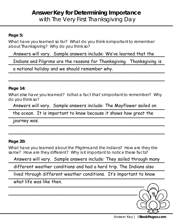# **Answer Key for Determining Importance** with The Very First Thanksgiving Day

# **Page 5:**

What have you learned so far? What do you think is important to remember about Thanksgiving? Why do you think so?

# Answers will vary. Sample answers include: We've learned that the

Indians and Pilgrims are the reasons for Thanksgiving. Thanksgiving is

 $\mathcal{L}_\text{max}$  and  $\mathcal{L}_\text{max}$  and  $\mathcal{L}_\text{max}$  and  $\mathcal{L}_\text{max}$  and  $\mathcal{L}_\text{max}$ 

a national holiday and we should remember why.

# **Page 14:**

What else have you learned? Is that a fact that's important to remember? Why do you think so?

Answers will vary. Sample answers include: The Mayflower sailed on

the ocean. It is important to know because it shows how great the

 $\mathcal{L}_\text{max}$  and  $\mathcal{L}_\text{max}$  and  $\mathcal{L}_\text{max}$  and  $\mathcal{L}_\text{max}$  and  $\mathcal{L}_\text{max}$ 

journey was. journey was.

# **Page 20:**

What have you learned about the Pilgrims and the Indians? How are they the same? How are they different? Why is it important to notice these facts?

Answers will vary. Sample answers include: They sailed through many

different weather conditions and had a hard trip. The Indians also

\_\_\_\_\_\_\_\_\_\_\_\_\_\_\_\_\_\_\_\_\_\_\_\_\_\_\_\_\_\_\_\_\_\_\_\_\_\_\_\_\_\_\_\_\_\_ lived through different weather conditions. It's important to know

what life was like then.

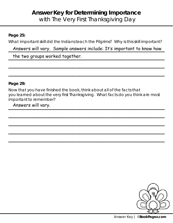# **Answer Key for Determining Importance** with The Very First Thanksgiving Day

# **Page 25:**

What important skill did the Indians teach the Pilgrims? Why is this skill important?

# Answers will vary. Sample answers include: It's important to know how

 $\mathcal{L}_\text{max}$  and  $\mathcal{L}_\text{max}$  and  $\mathcal{L}_\text{max}$  and  $\mathcal{L}_\text{max}$  and  $\mathcal{L}_\text{max}$ 

 $\mathcal{L}_\text{max}$  and  $\mathcal{L}_\text{max}$  and  $\mathcal{L}_\text{max}$  and  $\mathcal{L}_\text{max}$  and  $\mathcal{L}_\text{max}$ 

the two groups worked together.

# **Page 29:**

Now that you have finished the book, think about all of the facts that you learned about the very first Thanksgiving. What facts do you think are most important to remember?

 $\mathcal{L}_\text{max}$  and  $\mathcal{L}_\text{max}$  and  $\mathcal{L}_\text{max}$  and  $\mathcal{L}_\text{max}$  and  $\mathcal{L}_\text{max}$ 

 $\mathcal{L}_\text{max}$  and  $\mathcal{L}_\text{max}$  and  $\mathcal{L}_\text{max}$  and  $\mathcal{L}_\text{max}$  and  $\mathcal{L}_\text{max}$  and  $\mathcal{L}_\text{max}$ 

 $\mathcal{L}_\text{max}$  and  $\mathcal{L}_\text{max}$  and  $\mathcal{L}_\text{max}$  and  $\mathcal{L}_\text{max}$  and  $\mathcal{L}_\text{max}$ 

 $\mathcal{L}_\text{max}$  and  $\mathcal{L}_\text{max}$  and  $\mathcal{L}_\text{max}$  and  $\mathcal{L}_\text{max}$  and  $\mathcal{L}_\text{max}$ 

\_\_\_\_\_\_\_\_\_\_\_\_\_\_\_\_\_\_\_\_\_\_\_\_\_\_\_\_\_\_\_\_\_\_\_\_\_\_\_\_\_\_\_\_\_\_ Answers will vary.

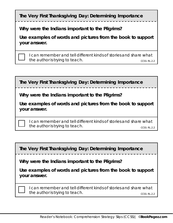|  | The Very First Thanksgiving Day: Determining Importance |  |
|--|---------------------------------------------------------|--|
|  |                                                         |  |

**Why were the Indians important to the Pilgrims?** 

**Use examples of words and pictures from the book to support your answer.** 

I can remember and tell different kinds of stories and share what the author is trying to teach. The state of the author is trying to teach.

**The Very First Thanksgiving Day: Determining Importance**

**Why were the Indians important to the Pilgrims?** 

**Use examples of words and pictures from the book to support your answer.** 

I can remember and tell different kinds of stories and share what the author is trying to teach. CCSS: RL.2.2

**The Very First Thanksgiving Day: Determining Importance**

**Why were the Indians important to the Pilgrims?** 

**Use examples of words and pictures from the book to support your answer.** 

I can remember and tell different kinds of stories and share what the author is trying to teach. CCSS: RL.2.2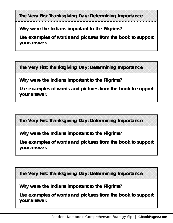**The Very First Thanksgiving Day: Determining Importance**

**Why were the Indians important to the Pilgrims?** 

**Use examples of words and pictures from the book to support your answer.** 

**The Very First Thanksgiving Day: Determining Importance**

**Why were the Indians important to the Pilgrims?** 

**Use examples of words and pictures from the book to support your answer.** 

**The Very First Thanksgiving Day: Determining Importance**

**Why were the Indians important to the Pilgrims?** 

**Use examples of words and pictures from the book to support your answer.** 

**The Very First Thanksgiving Day: Determining Importance**

**Why were the Indians important to the Pilgrims?** 

**Use examples of words and pictures from the book to support your answer.**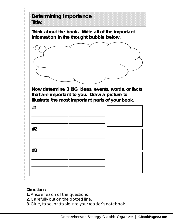

- **1.** Answer each of the questions.
- **2.** Carefully cut on the dotted line.
- **3.** Glue, tape, or staple into your reader's notebook.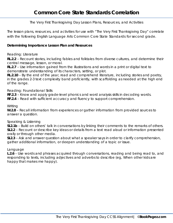The Very First Thanksgiving Day Lesson Plans, Resources, and Activities

The lesson plans, resources, and activities for use with "The Very First Thanksgiving Day" correlate with the following English Language Arts Common Core State Standards for second grade.

#### **Determining Importance Lesson Plan and Resources**

#### Reading: Literature

**RL.2.2** – Recount stories, including fables and folktales from diverse cultures, and determine their central message, lesson, or moral.

**RL.2.7** – Use information gained from the illustrations and words in a print or digital text to demonstrate understanding of its characters, setting, or plot.

**RL.2.10** – By the end of the year, read and comprehend literature, including stories and poetry, in the grades 2-3 text complexity band proficiently, with scaffolding as needed at the high end of the range.

#### Reading: Foundational Skills

**RF.2.3** – Know and apply grade-level phonics and word analysis skills in decoding words.

**RF.2.4** – Read with sufficient accuracy and fluency to support comprehension.

#### **Writing**

**W.2.8** – Recall information from experiences or gather information from provided sources to answer a question.

#### Speaking & Listening

**SL2.1b** – Build on others' talk in conversations by linking their comments to the remarks of others. **SL2.2** – Recount or describe key ideas or details from a text read aloud or information presented orally or through other media.

**SL2.3** – Ask and answer question about what a speaker says in order to clarify comprehension, gather additional information, or deepen understanding of a topic or issue.

#### Language

**L.2.6** – Use words and phrases acquired through conversations, reading and being read to, and responding to texts, including adjectives and adverbs to describe (eg, *When other kids are happy that makes me happy*).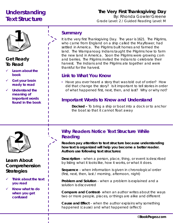# **Understanding Text Structure**

# **The Very First Thanksgiving Day** By: Rhonda Gowler Greene Grade Level: 2 / Guided Reading Level: M



# **Get Ready To Read**

- **Learn about the book**
- **Get your brain ready to read**
- **Understand the meaning of important words found in the book**

# **Summary**

It is the very first Thanksgiving Day. The year is 1621. The Pilgrims, who came from England on a ship called the Mayflower, had settled in America. The Pilgrims built homes and farmed the land. The Wampanoag Indians taught the Pilgrims how to farm the new land in America. Soon the Pilgrims were growing corn and berries. The Pilgrims invited the Indians to celebrate their harvest. The Indians and the Pilgrims ate together and were thankful for the harvest.

# **Link to What You Know**

• Have you ever heard a story that was told out of order? How did that change the story? Is it important to tell stories in order of what happened first, next, then, and last? Why or why not?

# **Important Words to Know and Understand**

**Docked –** To bring a ship or boat into a dock or to anchor the boat so that it cannot float away



# **Learn About Comprehension Strategies**

- **Think about the text you read**
- **Know what to do when you get confused**

# **2 Why Readers Notice Text Structure While Reading**

**Readers pay attention to text structure because understanding how text is organized will help you become a better reader. Authors use following text structures:** 

**Description** – when a person, place, thing, or event is described by listing what it looks like, how it works, or what it does.

**Sequence** – when information is given in chronological order (first, next, then, last / morning, afternoon, night)

**Problem and Solution** – when a problem is explained and a solution is discovered

**Compare and Contrast**– when an author writes about the ways two or more people, places, or things are alike and different

**Cause and Effect** – when the author explains why something happened (cause) and what happened (effect)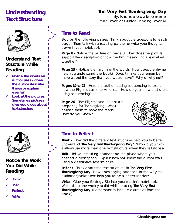# **Understanding Text Structure**

# **The Very First Thanksgiving Day** By: Rhonda Gowler Greene

Grade Level: 2 / Guided Reading Level: M



# **Understand Text Structure While Reading**

- **Notice the words an author uses – does the author describe things or explain events?**
- **Look at the pictures. Sometimes pictures give you clues about text structure**

# **Time to Read**

Stop on the following pages. Think about the questions for each page. Then talk with a reading partner or write your thoughts down in your notebook.

**Page 8 –** Notice the picture on page 8. How does the picture support the description of how the Pilgrims and Indians worked together?

**Page 13 –** Notice the rhythm of the words. How does the rhyme help you understand the book? Does it make you remember more about the story than you would have? Why or why not?

**Pages 19 to 22 –** Here the author is using sequencing to explain how the Pilgrims came to America. How do you know that she is using sequencing?

**Page 26 –** The Pilgrims and Indians are preparing for Thanksgiving. What caused them to have the feast? How do you know?





# **Notice the Work You Did While Reading**

- **Think**
- **Talk**
- **Reflect**
- **Write**

# **4 Time to Reflect**

**Think –** How did the different text structures help you to better understand *The Very First Thanksgiving Day*? Why do you think authors use more than one text structure when they tell stories?

**Talk –** Tell your reading partner about a place where you noticed a description. Explain how you knew the author was using a descriptive text structure.

**Reflect –** Think about the text structures in *The Very First Thanksgiving Day*. How does paying attention to the way the author organizes text help you to be a better reader?

**Write –** Glue your Strategy Slip into your reader's notebook. Write about the work you did while reading *The Very First Thanksgiving Day*. (Remember to include examples from the book!)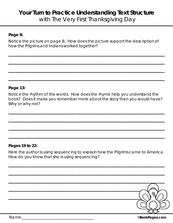# **Your Turn to Practice Understanding Text Structure** with The Very First Thanksgiving Day

# **Page 8:**

Notice the picture on page 8. How does the picture support the description of how the Pilgrims and Indians worked together?

 $\mathcal{L}_\text{max}$  and  $\mathcal{L}_\text{max}$  and  $\mathcal{L}_\text{max}$  and  $\mathcal{L}_\text{max}$  and  $\mathcal{L}_\text{max}$ 

 $\mathcal{L}_\text{max}$  and  $\mathcal{L}_\text{max}$  and  $\mathcal{L}_\text{max}$  and  $\mathcal{L}_\text{max}$  and  $\mathcal{L}_\text{max}$ 

 $\mathcal{L}_\text{max}$  and  $\mathcal{L}_\text{max}$  and  $\mathcal{L}_\text{max}$  and  $\mathcal{L}_\text{max}$  and  $\mathcal{L}_\text{max}$  and  $\mathcal{L}_\text{max}$ 

 $\mathcal{L}_\text{max}$  and  $\mathcal{L}_\text{max}$  and  $\mathcal{L}_\text{max}$  and  $\mathcal{L}_\text{max}$  and  $\mathcal{L}_\text{max}$  and  $\mathcal{L}_\text{max}$ 

# **Page 13:**

Notice the rhythm of the words. How does the rhyme help you understand the book? Does it make you remember more about the story than you would have? Why or why not?

 $\mathcal{L}_\text{max}$  and  $\mathcal{L}_\text{max}$  and  $\mathcal{L}_\text{max}$  and  $\mathcal{L}_\text{max}$  and  $\mathcal{L}_\text{max}$ 

 $\mathcal{L}_\text{max}$  and  $\mathcal{L}_\text{max}$  and  $\mathcal{L}_\text{max}$  and  $\mathcal{L}_\text{max}$  and  $\mathcal{L}_\text{max}$ 

 $\mathcal{L}_\text{max}$  and  $\mathcal{L}_\text{max}$  and  $\mathcal{L}_\text{max}$  and  $\mathcal{L}_\text{max}$  and  $\mathcal{L}_\text{max}$ 

 $\mathcal{L}_\text{max}$  and  $\mathcal{L}_\text{max}$  and  $\mathcal{L}_\text{max}$  and  $\mathcal{L}_\text{max}$  and  $\mathcal{L}_\text{max}$  and  $\mathcal{L}_\text{max}$ 

# **Pages 19 to 22:**

Here the author is using sequencing to explain how the Pilgrims came to America. How do you know that she is using sequencing?

 $\mathcal{L}_\text{max}$  and  $\mathcal{L}_\text{max}$  and  $\mathcal{L}_\text{max}$  and  $\mathcal{L}_\text{max}$  and  $\mathcal{L}_\text{max}$ 

 $\mathcal{L}_\text{max}$  and  $\mathcal{L}_\text{max}$  and  $\mathcal{L}_\text{max}$  and  $\mathcal{L}_\text{max}$  and  $\mathcal{L}_\text{max}$ 

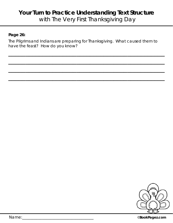# **Your Turn to Practice Understanding Text Structure** with The Very First Thanksgiving Day

# **Page 26:**

The Pilgrims and Indians are preparing for Thanksgiving. What caused them to have the feast? How do you know?

 $\mathcal{L}_\text{max}$  and  $\mathcal{L}_\text{max}$  and  $\mathcal{L}_\text{max}$  and  $\mathcal{L}_\text{max}$  and  $\mathcal{L}_\text{max}$ 

 $\mathcal{L}_\text{max}$  and  $\mathcal{L}_\text{max}$  and  $\mathcal{L}_\text{max}$  and  $\mathcal{L}_\text{max}$  and  $\mathcal{L}_\text{max}$ 

 $\mathcal{L}_\text{max}$  and  $\mathcal{L}_\text{max}$  and  $\mathcal{L}_\text{max}$  and  $\mathcal{L}_\text{max}$  and  $\mathcal{L}_\text{max}$  and  $\mathcal{L}_\text{max}$ 

 $\mathcal{L}_\text{max}$  and  $\mathcal{L}_\text{max}$  and  $\mathcal{L}_\text{max}$  and  $\mathcal{L}_\text{max}$  and  $\mathcal{L}_\text{max}$  and  $\mathcal{L}_\text{max}$ 



Name:\_\_\_\_\_\_\_\_\_\_\_\_\_\_\_\_\_\_\_\_\_\_\_\_\_\_\_\_\_\_\_\_\_\_\_\_ ©**BookPagez.com**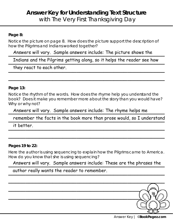# **Answer Key for Understanding Text Structure** with The Very First Thanksgiving Day

# **Page 8:**

Notice the picture on page 8. How does the picture support the description of how the Pilgrims and Indians worked together?

Answers will vary. Sample answers include: The picture shows the

Indians and the Pilgrims getting along, so it helps the reader see how

 $\mathcal{L}_\text{max}$  and  $\mathcal{L}_\text{max}$  and  $\mathcal{L}_\text{max}$  and  $\mathcal{L}_\text{max}$  and  $\mathcal{L}_\text{max}$  and  $\mathcal{L}_\text{max}$ 

they react to each other.

# **Page 13:**

Notice the rhythm of the words. How does the rhyme help you understand the book? Does it make you remember more about the story than you would have? Why or why not?

Answers will vary. Sample answers include: The rhyme helps me

remember the facts in the book more than prose would, so I understand

it better. it better.

# **Pages 19 to 22:**

Here the author is using sequencing to explain how the Pilgrims came to America. How do you know that she is using sequencing?

 $\mathcal{L}_\text{max}$  and  $\mathcal{L}_\text{max}$  and  $\mathcal{L}_\text{max}$  and  $\mathcal{L}_\text{max}$  and  $\mathcal{L}_\text{max}$  and  $\mathcal{L}_\text{max}$ 

Answers will vary. Sample answers include: These are the phrases the

# \_\_\_\_\_\_\_\_\_\_\_\_\_\_\_\_\_\_\_\_\_\_\_\_\_\_\_\_\_\_\_\_\_\_\_\_\_\_\_\_\_\_\_\_\_\_ author really wants the reader to remember.

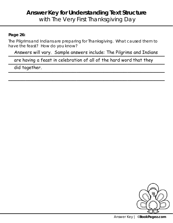# **Answer Key for Understanding Text Structure** with The Very First Thanksgiving Day

# **Page 26:**

The Pilgrims and Indians are preparing for Thanksgiving. What caused them to have the feast? How do you know?

Answers will vary. Sample answers include: The Pilgrims and Indians

 $\mathcal{L}_\text{max}$  and  $\mathcal{L}_\text{max}$  and  $\mathcal{L}_\text{max}$  and  $\mathcal{L}_\text{max}$  and  $\mathcal{L}_\text{max}$  and  $\mathcal{L}_\text{max}$ 

are having a feast in celebration of all of the hard word that they

did together.

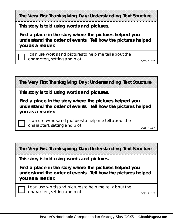**The Very First Thanksgiving Day: Understanding Text Structure** 

**This story is told using words and pictures.** 

**Find a place in the story where the pictures helped you understand the order of events. Tell how the pictures helped you as a reader.** 

I can use words and pictures to help me tell about the characters, setting and plot. Characters, setting and plot.

**The Very First Thanksgiving Day: Understanding Text Structure** 

**This story is told using words and pictures.** 

**Find a place in the story where the pictures helped you understand the order of events. Tell how the pictures helped you as a reader.** 

I can use words and pictures to help me tell about the characters, setting and plot.

CCSS: RL.2.7

**The Very First Thanksgiving Day: Understanding Text Structure** 

**This story is told using words and pictures.** 

**Find a place in the story where the pictures helped you understand the order of events. Tell how the pictures helped you as a reader.** 

I can use words and pictures to help me tell about the characters, setting and plot.

CCSS: RL.2.7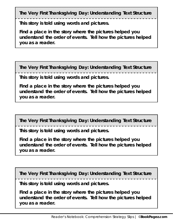**The Very First Thanksgiving Day: Understanding Text Structure** 

**This story is told using words and pictures.** 

**Find a place in the story where the pictures helped you understand the order of events. Tell how the pictures helped you as a reader.** 

**The Very First Thanksgiving Day: Understanding Text Structure** 

**This story is told using words and pictures.** 

**Find a place in the story where the pictures helped you understand the order of events. Tell how the pictures helped you as a reader.** 

**The Very First Thanksgiving Day: Understanding Text Structure** 

**This story is told using words and pictures.** 

**Find a place in the story where the pictures helped you understand the order of events. Tell how the pictures helped you as a reader.** 

**The Very First Thanksgiving Day: Understanding Text Structure** 

**This story is told using words and pictures.** 

**Find a place in the story where the pictures helped you understand the order of events. Tell how the pictures helped you as a reader.**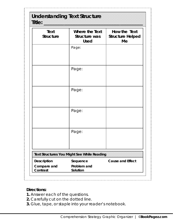# **Understanding Text Structure**

| <b>Text</b><br><b>Structure</b>               | Where the Text<br>Structure was<br><b>Used</b> | How the Text<br><b>Structure Helped</b><br>Me |
|-----------------------------------------------|------------------------------------------------|-----------------------------------------------|
|                                               | Page:                                          |                                               |
|                                               | Page:                                          |                                               |
|                                               | Page:                                          |                                               |
|                                               | Page:                                          |                                               |
|                                               | Page:                                          |                                               |
|                                               | Text Structures You Might See While Reading    |                                               |
| <b>Description</b><br>Compare and<br>Contrast | Sequence<br>Problem and<br>Solution            | <b>Cause and Effect</b>                       |

# **Directions:**

- **1.** Answer each of the questions.
- **2.** Carefully cut on the dotted line.
- **3.** Glue, tape, or staple into your reader's notebook.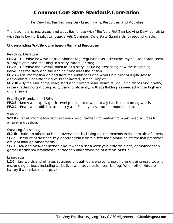The Very First Thanksgiving Day Lesson Plans, Resources, and Activities

The lesson plans, resources, and activities for use with "The Very First Thanksgiving Day" correlate with the following English Language Arts Common Core State Standards for second grade.

#### **Understanding Text Structure Lesson Plan and Resources**

#### Reading: Literature

**RL.2.4** – Describe how words and phrases (eg, regular beats, alliteration rhymes, repeated lines) supply rhythm and meaning in a story, poem, or song.

**RL.2.5** – Describe the overall structure of a story, including describing how the beginning introduces the story and the ending concludes the action.

**RL.2.7** – Use information gained from the illustrations and words in a print or digital text to demonstrate understanding of its characters, setting, or plot.

**RL.2.10** – By the end of the year, read and comprehend literature, including stories and poetry, in the grades 2-3 text complexity band proficiently, with scaffolding as needed at the high end of the range.

Reading: Foundational Skills

**RF.2.3** – Know and apply grade-level phonics and word analysis skills in decoding words.

**RF.2.4** – Read with sufficient accuracy and fluency to support comprehension.

#### **Writing**

**W.2.8** – Recall information from experiences or gather information from provided sources to answer a question.

#### Speaking & Listening

**SL2.1b** – Build on others' talk in conversations by linking their comments to the remarks of others. **SL2.2** – Recount or describe key ideas or details from a text read aloud or information presented orally or through other media.

**SL2.3** – Ask and answer question about what a speaker says in order to clarify comprehension, gather additional information, or deepen understanding of a topic or issue.

#### Language

**L.2.6** – Use words and phrases acquired through conversations, reading and being read to, and responding to texts, including adjectives and adverbs to describe (eg, *When other kids are happy that makes me happy*).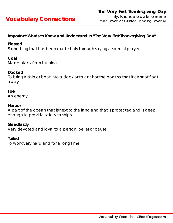# **Important Words to Know and Understand in "The Very First Thanksgiving Day"**

## **Blessed**

Something that has been made holy through saying a special prayer

# **Coal**

Made black from burning

# **Docked**

To bring a ship or boat into a dock or to anchor the boat so that it cannot float away

### **Foe**

An enemy

### **Harbor**

A part of the ocean that is next to the land and that is protected and is deep enough to provide safety to ships

### **Steadfastly**

Very devoted and loyal to a person, belief or cause

### **Toiled**

To work very hard and for a long time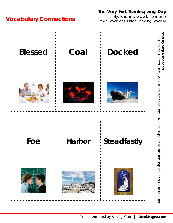# **The Very First Thanksgiving Day**

By: Rhonda Gowler Greene **Vocabulary Connections** By: Rhonda Gowler Greene



# Picture Vocabulary Sorting Cards| ©**BookPagez.com**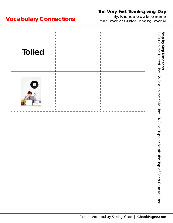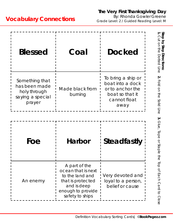| <b>Blessed</b>                                                                | Coal                       | <b>Docked</b>                                                                                         |
|-------------------------------------------------------------------------------|----------------------------|-------------------------------------------------------------------------------------------------------|
| Something that<br>has been made<br>holy through<br>saying a special<br>prayer | Made black from<br>burning | To bring a ship or<br>boat into a dock<br>or to anchor the<br>boat so that it<br>cannot float<br>away |
|                                                                               |                            |                                                                                                       |
| Foe                                                                           | <b>Harbor</b>              | <b>Steadfastly</b>                                                                                    |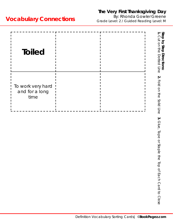| <b>Toiled</b>                               | Step by Step Directions:<br>1. Cut on the Dotted Line                       |
|---------------------------------------------|-----------------------------------------------------------------------------|
| To work very hard<br>and for a long<br>time | $\mathbf{v}$<br>Fold on the solid Line                                      |
|                                             | $\dot{\mathbf{c}}$<br>Glue, Tape or Staple<br>the Top of Each Card to Close |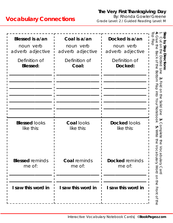| Blessed is a/an<br>noun verb<br>adverb adjective<br>Definition of<br><b>Blessed:</b> | Coal is a/an<br>noun verb<br>adverb adjective<br>Definition of<br>Coal: | Docked is a/an<br>noun verb<br>adverb adjective<br>Definition of<br>Docked: | Step<br>O<br>Ó<br>$\frac{1}{2}$<br>$\overline{\mathsf{c}}$<br>Step<br>83<br>Directions<br>5<br>이<br>ᅎ<br>$\supseteq$<br><b>Ited</b><br>당<br>이<br>$\overline{\sigma}$<br>Bottom<br>$\frac{0}{0}$<br>Flap into<br>Your Notebook<br>Solid<br><b>Line</b> |
|--------------------------------------------------------------------------------------|-------------------------------------------------------------------------|-----------------------------------------------------------------------------|-------------------------------------------------------------------------------------------------------------------------------------------------------------------------------------------------------------------------------------------------------|
| <b>Blessed looks</b><br>like this:                                                   | <b>Coal looks</b><br>like this:                                         | <b>Docked looks</b><br>like this:                                           | س<br>omplete<br>ŗд<br>Write<br>5h<br>S<br>VOCab                                                                                                                                                                                                       |
| <b>Blessed</b> reminds<br>me of:                                                     | <b>Coal</b> reminds<br>me of:                                           | <b>Docked</b> reminds<br>me of:                                             | oulary Card<br>oulary Word                                                                                                                                                                                                                            |
| I saw this word in                                                                   | I saw this word in                                                      | I saw this word in                                                          | on the Front of the                                                                                                                                                                                                                                   |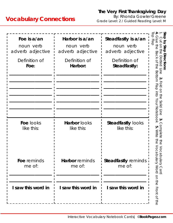| Foe is a/an<br>noun verb<br>adverb adjective<br>Definition of<br>Foe: | Harbor is a/an<br>noun verb<br>adverb adjective<br>Definition of<br>Harbor: | Steadfastly is a/an<br>noun verb<br>adverb adjective<br>Definition of<br>Steadfastly: | Step<br>$\frac{1}{\overline{Q}}$<br>$\overline{Q}$<br>$\overline{0}$<br>O<br>Step<br>t<br>19<br>ᢍ<br>ω<br>Directions<br>O<br>ᅎ<br>ŏ<br>$\supseteq$<br>₹<br><b>SH</b><br>$\overline{5}$<br>BO<br>LIOM<br>$rac{O}{O}$<br>$\overline{\omega}$<br>$\circ$<br>into<br>$\Rightarrow$<br>Your<br>Solid<br>Notebook<br>Line |
|-----------------------------------------------------------------------|-----------------------------------------------------------------------------|---------------------------------------------------------------------------------------|---------------------------------------------------------------------------------------------------------------------------------------------------------------------------------------------------------------------------------------------------------------------------------------------------------------------|
| Foe looks<br>like this:                                               | Harbor looks<br>like this:                                                  | <b>Steadfastly looks</b><br>like this:                                                | ట<br>ŗч<br>Write<br>$rac{1}{\overline{10}}$<br>も<br>こ<br>the<br><br>Ō<br>∩                                                                                                                                                                                                                                          |
| Foe reminds<br>me of:                                                 | Harbor reminds<br>me of:                                                    | <b>Steadfastly reminds</b><br>me of:                                                  | ω<br>ω<br>$\circ$<br>ਨ<br>bulary Card<br>bulary Word                                                                                                                                                                                                                                                                |
| I saw this word in                                                    | I saw this word in                                                          | I saw this word in                                                                    | on the Front of the                                                                                                                                                                                                                                                                                                 |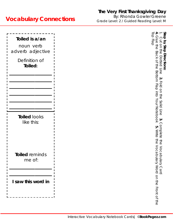| Toiled is a/an<br>noun verb<br>adverb adjective<br>Definition of<br>Toiled: | $\overline{O}$<br>Elap<br>9<br>P<br>ᢍ<br>ω<br>ᅎ<br>$\supseteq$<br>ing<br>Sid<br>Bottom<br>$\frac{1}{2}$<br>up into<br>Your Notebook | Step<br>ट्र<br>ō<br>σ<br>Directions<br>O<br>bed<br><b>D</b><br>$\mathbf{v}$<br>Fold<br>$\overline{a}$<br>the<br><br>Solid Line |
|-----------------------------------------------------------------------------|-------------------------------------------------------------------------------------------------------------------------------------|--------------------------------------------------------------------------------------------------------------------------------|
| <b>Toiled looks</b><br>like this:                                           | ŗл<br>Write<br>the<br>                                                                                                              | س<br>omplete<br>the                                                                                                            |
| Toiled reminds<br>me of:                                                    | Voca<br>$\overline{C}$                                                                                                              | Vocab                                                                                                                          |
| I saw this word in                                                          |                                                                                                                                     | ulary Card<br>Ilary Word on the Front of the                                                                                   |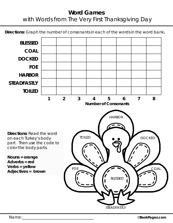**Directions:** Graph the number of consonants in each of the words in the word bank**.**

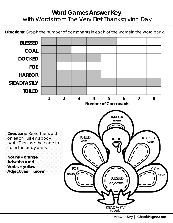**Directions:** Graph the number of consonants in each of the words in the word bank**.**

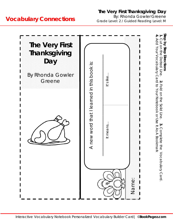# **The Very First Thanksgiving Day**

By: Rhonda Gowler Greene Grade Level: 2 / Guided Reading Level: M

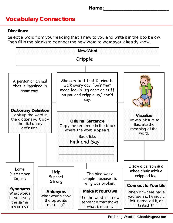# **Directions:**

Select a word from your reading that is new to you and write it in the box below. Then fill in the blanks to connect the new word to words you already know.

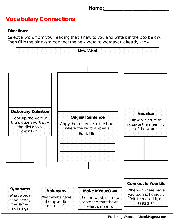## **Directions:**

Select a word from your reading that is new to you and write it in the box below. Then fill in the blanks to connect the new word to words you already know.



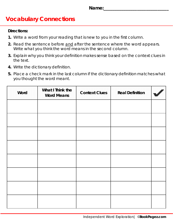## **Directions:**

- **1.** Write a word from your reading that is new to you in the first column.
- **2.** Read the sentence before *and* after the sentence where the word appears. Write what you think the word means in the second column.
- **3.** Explain why you think your definition makes sense based on the context clues in the text.
- **4.** Write the dictionary definition.
- **5.** Place a check mark in the last column if the dictionary definition matches what you thought the word meant.

| Word | What I Think the<br><b>Word Means</b> | <b>Context Clues</b> | <b>Real Definition</b> |  |
|------|---------------------------------------|----------------------|------------------------|--|
|      |                                       |                      |                        |  |
|      |                                       |                      |                        |  |
|      |                                       |                      |                        |  |
|      |                                       |                      |                        |  |
|      |                                       |                      |                        |  |
|      |                                       |                      |                        |  |
|      |                                       |                      |                        |  |
|      |                                       |                      |                        |  |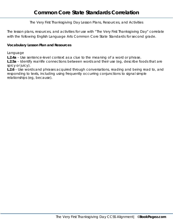The Very First Thanksgiving Day Lesson Plans, Resources, and Activities

The lesson plans, resources, and activities for use with "The Very First Thanksgiving Day" correlate with the following English Language Arts Common Core State Standards for second grade.

#### **Vocabulary Lesson Plan and Resources**

Language

**L.2.4a** – Use sentence-level context as a clue to the meaning of a word or phrase.

**L.2.5a** – Identify real-life connections between words and their use (eg, describe foods that are *spicy* or *juicy*).

**L.2.6** – Use words and phrases acquired through conversations, reading and being read to, and responding to texts, including using frequently occurring conjunctions to signal simple relationships (eg, *because*).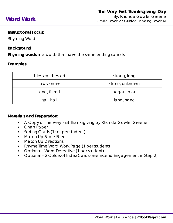# **Instructional Focus:**

Rhyming Words

# **Background:**

**Rhyming words** are words that have the same ending sounds.

# **Examples:**

| blessed, dressed | strong, long   |
|------------------|----------------|
| rows, snows      | stone, unknown |
| end, friend      | began, plan    |
| sail, hail       | land, hand     |

### **Materials and Preparation:**

- A Copy of *The Very First* Thanksgiving by Rhonda Gowler Greene
- Chart Paper
- Sorting Cards (1 set per student)
- Match Up Score Sheet
- Match Up Directions
- Rhyme Time Word Work Page (1 per student)
- Optional Word Detective (1 per student)
- Optional 2 Colors of Index Cards (see Extend Engagement in Step 2)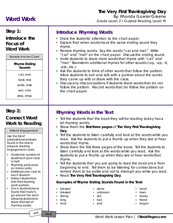# **Word Work**

# **The Very First Thanksgiving Day**

By: Rhonda Gowler Greene Grade Level: 2 / Guided Reading Level: M

# **Step 1:**

**Introduce the Focus of Word Work**

Sample Anchor Chart

**Rhyme Ending** 

#### **Sounds**

cat, mat

best, rest

smile, mile

win, chin stop, drop

# **Step 2:**

# **Connect Word Work to Reading**

#### Extend Engagement

Use the list of prepositional phrases found in the text to prepare reading engagement cards.

- Divide the number of students in your class in half.
- Rhyming word pairs on index cards.
- Distribute one card to each student.
- Instruct students to find their rhyming word partner.
- Once students have found their match, go around the room allowing students to share their set of rhyming words.

# **Introduce Rhyming Words**

- Draw the students' attention to the chart paper.
- Explain that when words have the same ending sound they rhyme.
- Review rhyming words. Say the words "cat and mat." Write "cat" and "mat" on the chart paper. Discuss the ending sound.
- Invite students to share more words that rhyme with "cat" and "mat." Brainstorm additional rhymes for other sounds (-op, -ap, -it, -ate, etc.)
- Ask the students to think of other words that follow the pattern. Allow students to turn and talk with a partner about the words they came up with or share with the class.
- Discuss any misconceptions if students share words that do not follow the pattern. Record words that do follow the pattern on the chart paper.

# **Rhyming Words in the Text**

- Tell the students that the book they will be reading today has a lot rhyming words.
- Show them the **first three pages** of *The Very First Thanksgiving Day*.
- Tell the students to listen carefully and look at the words while you read. Ask the students to put a thumb up when they see or hear words that rhyme.
- Show them the first three pages of the book. Tell the students to listen carefully and look at the words while you read. Ask the students to put a thumb up when they see or hear words that rhyme.
- Tell the students that you are going to read the book once from beginning to end. Tell them to be listening for contractions but remind them to be polite and not to interrupt you while you read.
- Read *The Very First Thanksgiving Day*.

#### **Examples of Rhyme Ending Sounds Found in the Text:**

- blessed
- dressed
- strong
- long
- land
- stone
- unknown
- sail
- hail
- end
- hand
- rows
- snows
- **friend** • began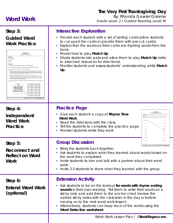# **Word Work**

# **The Very First Thanksgiving Day**

By: Rhonda Gowler Greene Grade Level: 2 / Guided Reading Level: M

# **Step 3:**

**Guided Word Work Practice**



# **Interactive Exploration**

- Provide each student with a set of sorting cards (allow students to cut apart the cards or provide them with pre-cut cards).
- Explain that the words on their cards are rhyming words from the book.
- Model how to play **Match Up**.
- Divide students into pairs and allow them to play **Match Up** (refer to attached resources for directions).
- Monitor students and assess students' understanding while **Match Up**.

#### **Practice Page Step 4:** • Give each student a copy of **Rhyme Time Independent Word Work**. **Word Work**  • Read the directions with the class. **Practice** • Tell the students to complete the practice page. **ROM Stong** • Monitor students while they work. **Group Discussion Step 5:** • Bring the students back together. **Reconnect and**  • Ask students to explain what they learned about words based on **Reflect on Word**  the work they completed. **Work** • Invite students to turn and talk with a partner about their word work. • Invite 2-3 students to share what they learned with the group. **Extension Activity Step 6:** • Ask students to be on the lookout **for words with rhyme ending Extend Word Work sounds** in their own reading. Tell them to write their words on a **(optional)** sticky note and add them to the anchor chart (review the added sticky notes with the class later in the day or before moving on to the next word work lesson). • Alternatively, students can keep track of the words using the **Word Detective worksheet**. Word Work Lesson Plan | ©**BookPagez.com**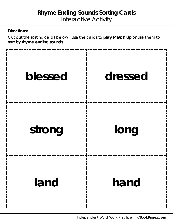Cut out the sorting cards below. Use the cards to **play Match Up** or use them to **sort by rhyme ending sounds**.

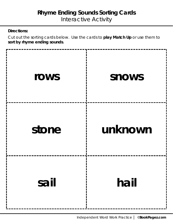Cut out the sorting cards below. Use the cards to **play Match Up** or use them to **sort by rhyme ending sounds**.

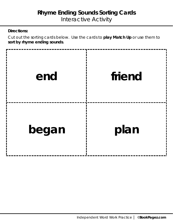Cut out the sorting cards below. Use the cards to **play Match Up** or use them to **sort by rhyme ending sounds**.

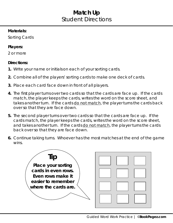# **Match Up** Student Directions

# **Materials:**

Sorting Cards

# **Players:**

2 or more

# **Directions:**

- **1.** Write your name or initials on each of your sorting cards.
- **2.** Combine all of the players' sorting cards to make one deck of cards.
- **3.** Place each card face down in front of all players.
- **4.** The first player turns over two cards so that the cards are face up. If the cards match, the player keeps the cards, writes the word on the score sheet, and takes another turn. If the cards do not match, the player turns the cards back over so that they are face down.
- **5.** The second player turns over two cards so that the cards are face up. If the cards match, the player keeps the cards, writes the word on the score sheet, and takes another turn. If the cards do not match, the player turns the cards back over so that they are face down.
- **6.** Continue taking turns. Whoever has the most matches at the end of the game wins.

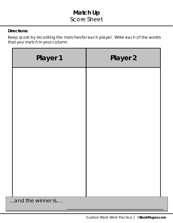# **Match Up** Score Sheet

# **Directions:**

Keep score by recording the matches for each player. Write each of the words that you match in your column.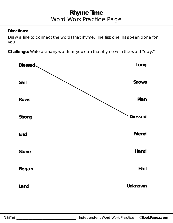Draw a line to connect the words that rhyme. The first one has been done for you.

**Challenge:** Write as many words as you can that rhyme with the word "day."

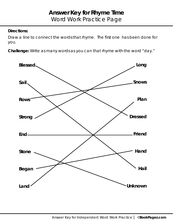Draw a line to connect the words that rhyme. The first one has been done for you.

**Challenge:** Write as many words as you can that rhyme with the word "day."

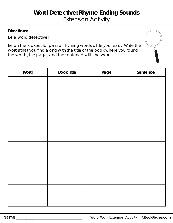Be a word detective!

Be on the lookout for pairs of rhyming words while you read. Write the words that you find along with the title of the book where you found the words, the page, and the sentence with the word.

| Word | <b>Book Title</b> | Page | Sentence |
|------|-------------------|------|----------|
|      |                   |      |          |
|      |                   |      |          |
|      |                   |      |          |
|      |                   |      |          |
|      |                   |      |          |
|      |                   |      |          |
|      |                   |      |          |
|      |                   |      |          |
|      |                   |      |          |
|      |                   |      |          |
|      |                   |      |          |
|      |                   |      |          |
|      |                   |      |          |
|      |                   |      |          |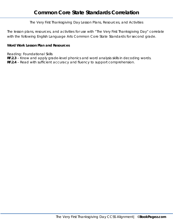The Very First Thanksgiving Day Lesson Plans, Resources, and Activities

The lesson plans, resources, and activities for use with "The Very First Thanksgiving Day" correlate with the following English Language Arts Common Core State Standards for second grade.

#### **Word Work Lesson Plan and Resources**

Reading: Foundational Skills

**RF.2.3** – Know and apply grade-level phonics and word analysis skills in decoding words.

**RF.2.4** – Read with sufficient accuracy and fluency to support comprehension.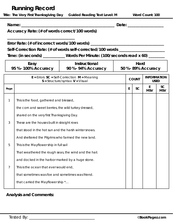# **Running Record**

|                                                       |                                                       |  | Title: The Very First Thanksgiving Day Guided Reading Text Level: M                                                                                                  |  |   |              | Word Count: 100                   |                         |
|-------------------------------------------------------|-------------------------------------------------------|--|----------------------------------------------------------------------------------------------------------------------------------------------------------------------|--|---|--------------|-----------------------------------|-------------------------|
|                                                       | Accuracy Rate: (# of words correct/100 words)         |  |                                                                                                                                                                      |  |   |              | Date: Date:                       |                         |
|                                                       |                                                       |  |                                                                                                                                                                      |  |   |              |                                   |                         |
|                                                       |                                                       |  | Error Rate: (# of incorrect words/100 words) ___________________________________<br>Self-Correction Rate: (# of words self-corrected/100 words _____________________ |  |   |              |                                   |                         |
|                                                       |                                                       |  | Time: (in seconds) __________Words Per Minute: (100/seconds read x 60) _______                                                                                       |  |   |              |                                   |                         |
|                                                       | Easy<br>95 %-100% Accuracy                            |  | <b>Instructional</b><br>90 %- 94% Accuracy                                                                                                                           |  |   | Hard         | 50 %-89% Accuracy                 |                         |
|                                                       |                                                       |  | $E =$ Errors $SC =$ Self-Correction $M =$ Meaning<br>$S =$ Structure/syntax $V =$ Visual                                                                             |  |   | <b>COUNT</b> | <b>INFORMATION</b><br><b>USED</b> |                         |
| Page                                                  |                                                       |  |                                                                                                                                                                      |  | E | <b>SC</b>    | E<br><b>MSV</b>                   | <b>SC</b><br><b>MSV</b> |
| 1                                                     | This is the food, gathered and blessed,               |  |                                                                                                                                                                      |  |   |              |                                   |                         |
|                                                       | the corn and sweet berries, the wild turkey dressed,  |  |                                                                                                                                                                      |  |   |              |                                   |                         |
|                                                       | shared on the very first Thanksgiving Day.            |  |                                                                                                                                                                      |  |   |              |                                   |                         |
| 3                                                     | These are the houses built in straight rows           |  |                                                                                                                                                                      |  |   |              |                                   |                         |
|                                                       | that stood in the hot sun and the harsh winter snows. |  |                                                                                                                                                                      |  |   |              |                                   |                         |
|                                                       | And sheltered the Pilgrims who farmed the new land.   |  |                                                                                                                                                                      |  |   |              |                                   |                         |
| 5<br>This is the Mayflower ship in full sail          |                                                       |  |                                                                                                                                                                      |  |   |              |                                   |                         |
| That weathered the rough seas, the wind and the hail. |                                                       |  |                                                                                                                                                                      |  |   |              |                                   |                         |
|                                                       | and docked in the harbor marked by a huge stone.      |  |                                                                                                                                                                      |  |   |              |                                   |                         |
| $\overline{7}$                                        | This is the ocean that ever would end,                |  |                                                                                                                                                                      |  |   |              |                                   |                         |
|                                                       | that sometimes was foe and sometimes was friend.      |  |                                                                                                                                                                      |  |   |              |                                   |                         |
|                                                       | that carried the Mayflower ship *                     |  |                                                                                                                                                                      |  |   |              |                                   |                         |

# **Analysis and Comments:**